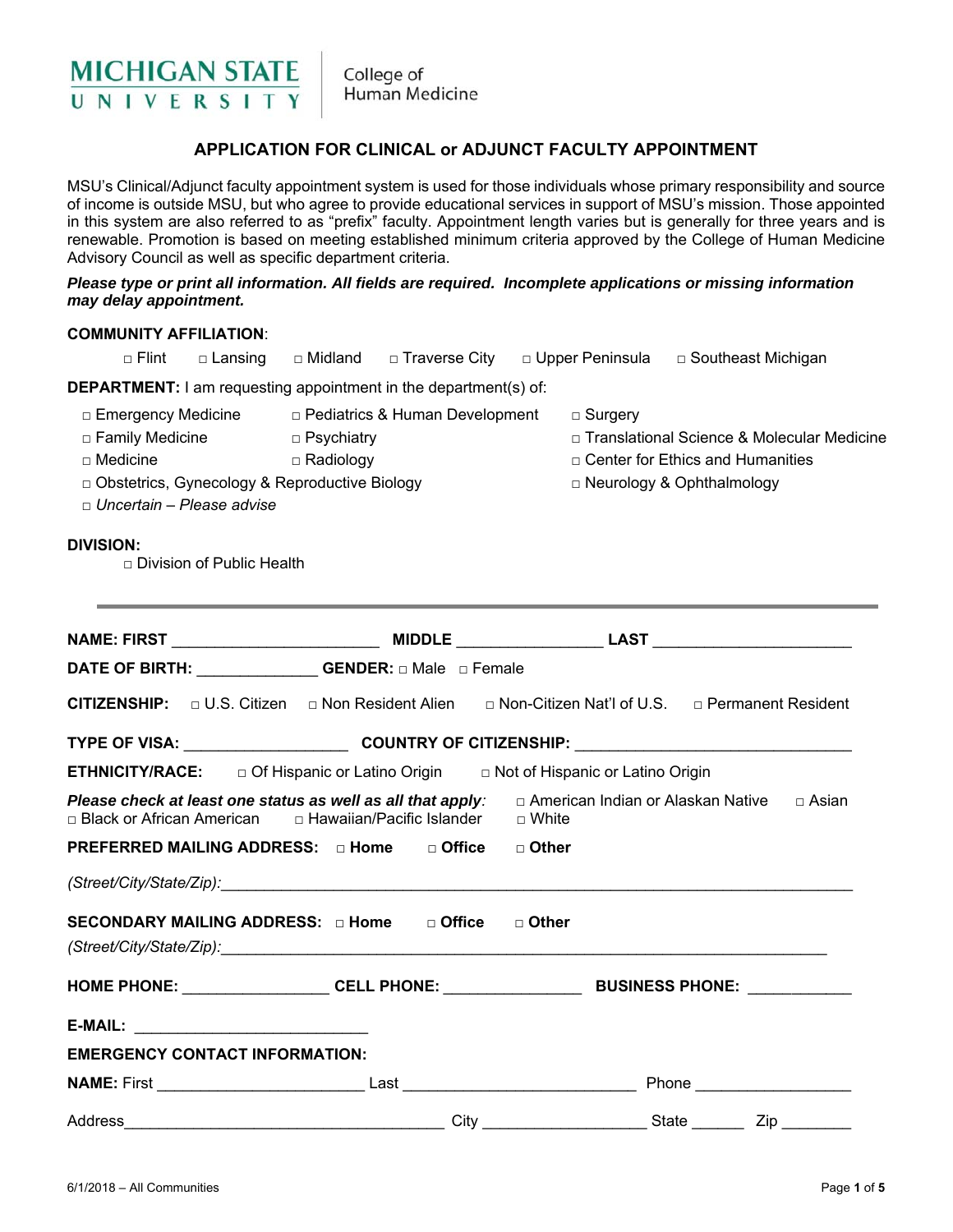

College of Human Medicine

### **APPLICATION FOR CLINICAL or ADJUNCT FACULTY APPOINTMENT**

MSU's Clinical/Adjunct faculty appointment system is used for those individuals whose primary responsibility and source of income is outside MSU, but who agree to provide educational services in support of MSU's mission. Those appointed in this system are also referred to as "prefix" faculty. Appointment length varies but is generally for three years and is renewable. Promotion is based on meeting established minimum criteria approved by the College of Human Medicine Advisory Council as well as specific department criteria.

#### *Please type or print all information. All fields are required. Incomplete applications or missing information may delay appointment.*

#### **COMMUNITY AFFILIATION**:

|                                                                                                                                                                                                                                |                           |                                  | □ Flint □ Lansing □ Midland □ Traverse City □ Upper Peninsula □ Southeast Michigan |                                     |                |                                                                                                                        |  |
|--------------------------------------------------------------------------------------------------------------------------------------------------------------------------------------------------------------------------------|---------------------------|----------------------------------|------------------------------------------------------------------------------------|-------------------------------------|----------------|------------------------------------------------------------------------------------------------------------------------|--|
| <b>DEPARTMENT:</b> I am requesting appointment in the department(s) of:                                                                                                                                                        |                           |                                  |                                                                                    |                                     |                |                                                                                                                        |  |
| □ Emergency Medicine □ Pediatrics & Human Development<br>$\Box$ Family Medicine<br>$\Box$ Medicine<br>D Obstetrics, Gynecology & Reproductive Biology<br>$\Box$ Uncertain – Please advise                                      |                           | □ Psychiatry<br>$\Box$ Radiology |                                                                                    |                                     | $\Box$ Surgery | □ Translational Science & Molecular Medicine<br>$\Box$ Center for Ethics and Humanities<br>□ Neurology & Ophthalmology |  |
| <b>DIVISION:</b>                                                                                                                                                                                                               | Division of Public Health |                                  |                                                                                    |                                     |                |                                                                                                                        |  |
|                                                                                                                                                                                                                                |                           |                                  |                                                                                    |                                     |                |                                                                                                                        |  |
| DATE OF BIRTH: ______________GENDER: a Male a Female                                                                                                                                                                           |                           |                                  |                                                                                    |                                     |                |                                                                                                                        |  |
| CITIZENSHIP: $\Box$ U.S. Citizen $\Box$ Non Resident Alien $\Box$ Non-Citizen Nat'l of U.S. $\Box$ Permanent Resident                                                                                                          |                           |                                  |                                                                                    |                                     |                |                                                                                                                        |  |
|                                                                                                                                                                                                                                |                           |                                  |                                                                                    |                                     |                |                                                                                                                        |  |
| <b>ETHNICITY/RACE:</b> $\Box$ Of Hispanic or Latino Origin $\Box$ Not of Hispanic or Latino Origin                                                                                                                             |                           |                                  |                                                                                    |                                     |                |                                                                                                                        |  |
| Please check at least one status as well as all that apply:<br>□ American Indian or Alaskan Native □ Asian                                                                                                                     |                           |                                  |                                                                                    |                                     |                |                                                                                                                        |  |
| PREFERRED MAILING ADDRESS: □ Home                                                                                                                                                                                              |                           |                                  | □ Office  □ Other                                                                  |                                     |                |                                                                                                                        |  |
| (Street/City/State/Zip): example and the contract of the contract of the contract of the contract of the contract of the contract of the contract of the contract of the contract of the contract of the contract of the contr |                           |                                  |                                                                                    |                                     |                |                                                                                                                        |  |
| SECONDARY MAILING ADDRESS: D Home D Office D Other                                                                                                                                                                             |                           |                                  |                                                                                    |                                     |                |                                                                                                                        |  |
| HOME PHONE: ____________________CELL PHONE: ____________________________BUSINESS PHONE: ____________                                                                                                                           |                           |                                  |                                                                                    |                                     |                |                                                                                                                        |  |
|                                                                                                                                                                                                                                |                           |                                  |                                                                                    |                                     |                |                                                                                                                        |  |
| <b>EMERGENCY CONTACT INFORMATION:</b>                                                                                                                                                                                          |                           |                                  |                                                                                    |                                     |                |                                                                                                                        |  |
|                                                                                                                                                                                                                                |                           |                                  |                                                                                    |                                     |                |                                                                                                                        |  |
| Address                                                                                                                                                                                                                        |                           |                                  |                                                                                    | City <b>Called Bureau Community</b> |                | State<br>Zip<br>$\mathcal{L}^{\text{max}}$                                                                             |  |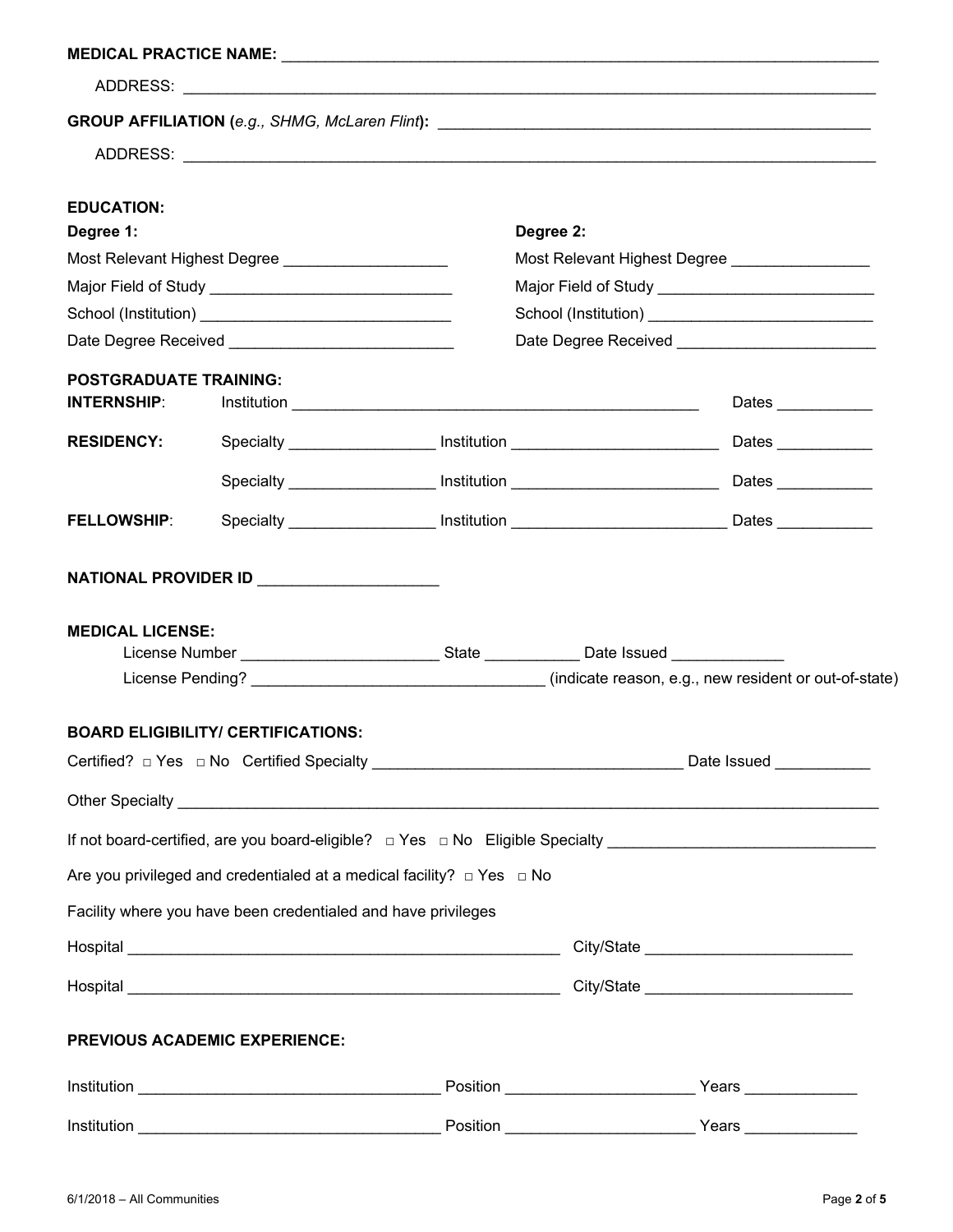| <b>EDUCATION:</b>                                                                                   |                                                                                                                             |                                                        |                     |  |  |  |
|-----------------------------------------------------------------------------------------------------|-----------------------------------------------------------------------------------------------------------------------------|--------------------------------------------------------|---------------------|--|--|--|
| Degree 1:                                                                                           |                                                                                                                             | Degree 2:                                              |                     |  |  |  |
|                                                                                                     | Most Relevant Highest Degree ______________________                                                                         | Most Relevant Highest Degree __________________        |                     |  |  |  |
|                                                                                                     |                                                                                                                             |                                                        |                     |  |  |  |
|                                                                                                     |                                                                                                                             | School (Institution) _________________________________ |                     |  |  |  |
|                                                                                                     |                                                                                                                             |                                                        |                     |  |  |  |
| <b>POSTGRADUATE TRAINING:</b><br><b>INTERNSHIP:</b>                                                 |                                                                                                                             |                                                        | Dates _____________ |  |  |  |
|                                                                                                     |                                                                                                                             |                                                        |                     |  |  |  |
| <b>RESIDENCY:</b>                                                                                   |                                                                                                                             |                                                        |                     |  |  |  |
|                                                                                                     | Specialty <b>Example 2018</b> Institution <b>CONSECT AND THE INSURANCE OF A SET AND RESERVE AT A LIGATION OF A LIGATION</b> |                                                        |                     |  |  |  |
| <b>FELLOWSHIP:</b>                                                                                  |                                                                                                                             |                                                        |                     |  |  |  |
|                                                                                                     |                                                                                                                             |                                                        |                     |  |  |  |
|                                                                                                     | NATIONAL PROVIDER ID __________________                                                                                     |                                                        |                     |  |  |  |
| <b>MEDICAL LICENSE:</b>                                                                             |                                                                                                                             |                                                        |                     |  |  |  |
| License Number ________________________________State ______________Date Issued ____________________ |                                                                                                                             |                                                        |                     |  |  |  |
|                                                                                                     |                                                                                                                             |                                                        |                     |  |  |  |
|                                                                                                     |                                                                                                                             |                                                        |                     |  |  |  |
|                                                                                                     | <b>BOARD ELIGIBILITY/ CERTIFICATIONS:</b>                                                                                   |                                                        |                     |  |  |  |
|                                                                                                     |                                                                                                                             |                                                        |                     |  |  |  |
|                                                                                                     |                                                                                                                             |                                                        |                     |  |  |  |
|                                                                                                     |                                                                                                                             |                                                        |                     |  |  |  |
|                                                                                                     | Are you privileged and credentialed at a medical facility? $\Box$ Yes $\Box$ No                                             |                                                        |                     |  |  |  |
|                                                                                                     | Facility where you have been credentialed and have privileges                                                               |                                                        |                     |  |  |  |
|                                                                                                     |                                                                                                                             |                                                        |                     |  |  |  |
|                                                                                                     |                                                                                                                             |                                                        |                     |  |  |  |
|                                                                                                     |                                                                                                                             |                                                        |                     |  |  |  |
| <b>PREVIOUS ACADEMIC EXPERIENCE:</b>                                                                |                                                                                                                             |                                                        |                     |  |  |  |
|                                                                                                     |                                                                                                                             |                                                        |                     |  |  |  |
|                                                                                                     |                                                                                                                             |                                                        |                     |  |  |  |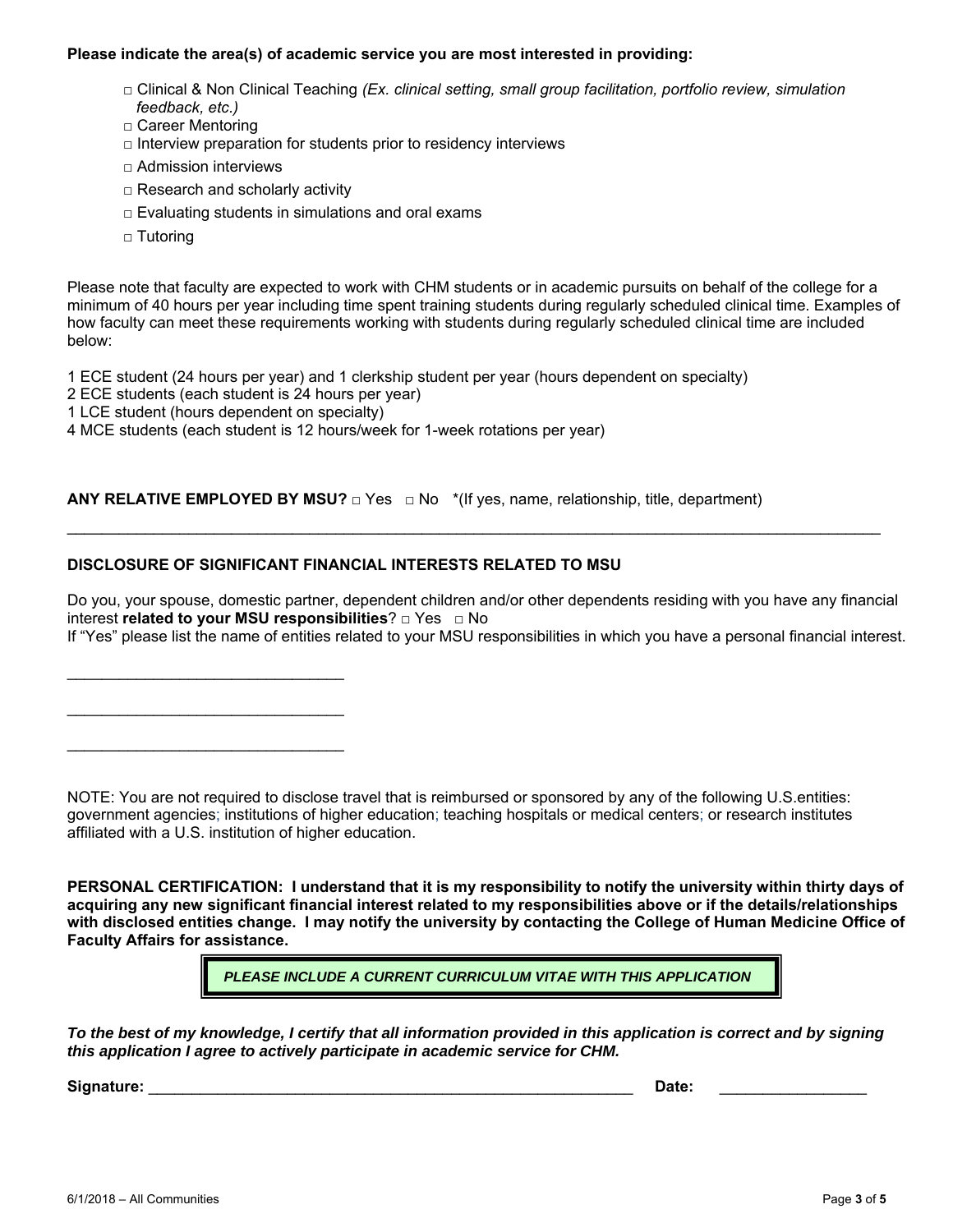#### **Please indicate the area(s) of academic service you are most interested in providing:**

- □ Clinical & Non Clinical Teaching *(Ex. clinical setting, small group facilitation, portfolio review, simulation feedback, etc.)*
- □ Career Mentoring
- $\Box$  Interview preparation for students prior to residency interviews
- $\Box$  Admission interviews
- □ Research and scholarly activity
- $\Box$  Evaluating students in simulations and oral exams
- □ Tutoring

Please note that faculty are expected to work with CHM students or in academic pursuits on behalf of the college for a minimum of 40 hours per year including time spent training students during regularly scheduled clinical time. Examples of how faculty can meet these requirements working with students during regularly scheduled clinical time are included below:

1 ECE student (24 hours per year) and 1 clerkship student per year (hours dependent on specialty)

- 2 ECE students (each student is 24 hours per year)
- 1 LCE student (hours dependent on specialty)

\_\_\_\_\_\_\_\_\_\_\_\_\_\_\_\_\_\_\_\_\_\_\_\_\_\_\_\_\_\_\_\_

 $\overline{\phantom{a}}$  , and the set of the set of the set of the set of the set of the set of the set of the set of the set of the set of the set of the set of the set of the set of the set of the set of the set of the set of the s

\_\_\_\_\_\_\_\_\_\_\_\_\_\_\_\_\_\_\_\_\_\_\_\_\_\_\_\_\_\_\_\_

4 MCE students (each student is 12 hours/week for 1-week rotations per year)

**ANY RELATIVE EMPLOYED BY MSU?** □ Yes □ No \*(If yes, name, relationship, title, department)

### **DISCLOSURE OF SIGNIFICANT FINANCIAL INTERESTS RELATED TO MSU**

Do you, your spouse, domestic partner, dependent children and/or other dependents residing with you have any financial interest **related to your MSU responsibilities**? **□** Yes **□** No

 $\mathcal{L}_\mathcal{L} = \{ \mathcal{L}_\mathcal{L} = \{ \mathcal{L}_\mathcal{L} = \{ \mathcal{L}_\mathcal{L} = \{ \mathcal{L}_\mathcal{L} = \{ \mathcal{L}_\mathcal{L} = \{ \mathcal{L}_\mathcal{L} = \{ \mathcal{L}_\mathcal{L} = \{ \mathcal{L}_\mathcal{L} = \{ \mathcal{L}_\mathcal{L} = \{ \mathcal{L}_\mathcal{L} = \{ \mathcal{L}_\mathcal{L} = \{ \mathcal{L}_\mathcal{L} = \{ \mathcal{L}_\mathcal{L} = \{ \mathcal{L}_\mathcal{$ 

If "Yes" please list the name of entities related to your MSU responsibilities in which you have a personal financial interest.

NOTE: You are not required to disclose travel that is reimbursed or sponsored by any of the following U.S.entities: government agencies; institutions of higher education; teaching hospitals or medical centers; or research institutes affiliated with a U.S. institution of higher education.

**PERSONAL CERTIFICATION: I understand that it is my responsibility to notify the university within thirty days of acquiring any new significant financial interest related to my responsibilities above or if the details/relationships with disclosed entities change. I may notify the university by contacting the College of Human Medicine Office of Faculty Affairs for assistance.** 

*PLEASE INCLUDE A CURRENT CURRICULUM VITAE WITH THIS APPLICATION*

*To the best of my knowledge, I certify that all information provided in this application is correct and by signing this application I agree to actively participate in academic service for CHM.* 

**Signature:** \_\_\_\_\_\_\_\_\_\_\_\_\_\_\_\_\_\_\_\_\_\_\_\_\_\_\_\_\_\_\_\_\_\_\_\_\_\_\_\_\_\_\_\_\_\_\_\_\_\_\_\_\_\_\_\_ **Date:** \_\_\_\_\_\_\_\_\_\_\_\_\_\_\_\_\_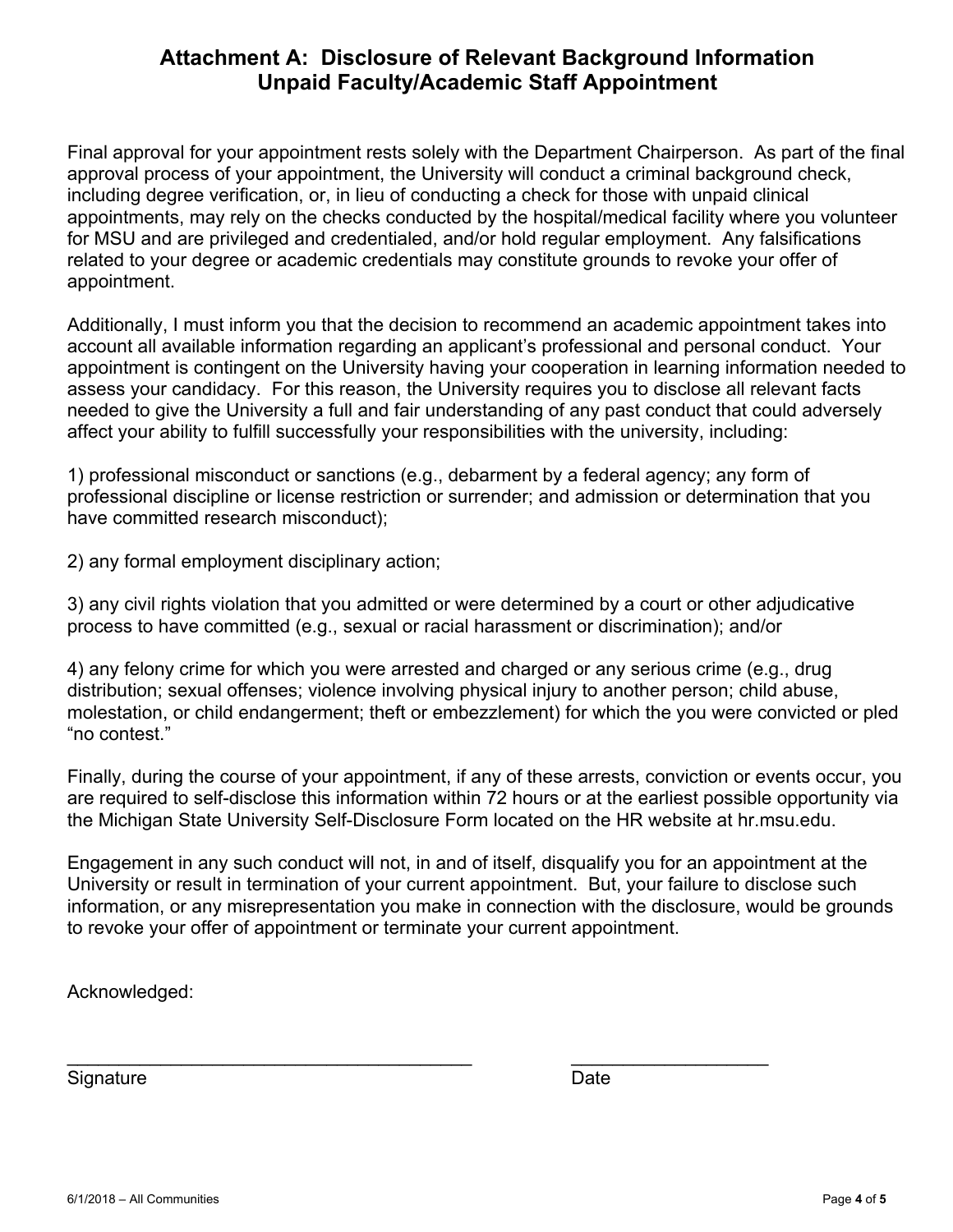## **Attachment A: Disclosure of Relevant Background Information Unpaid Faculty/Academic Staff Appointment**

Final approval for your appointment rests solely with the Department Chairperson. As part of the final approval process of your appointment, the University will conduct a criminal background check, including degree verification, or, in lieu of conducting a check for those with unpaid clinical appointments, may rely on the checks conducted by the hospital/medical facility where you volunteer for MSU and are privileged and credentialed, and/or hold regular employment. Any falsifications related to your degree or academic credentials may constitute grounds to revoke your offer of appointment.

Additionally, I must inform you that the decision to recommend an academic appointment takes into account all available information regarding an applicant's professional and personal conduct. Your appointment is contingent on the University having your cooperation in learning information needed to assess your candidacy. For this reason, the University requires you to disclose all relevant facts needed to give the University a full and fair understanding of any past conduct that could adversely affect your ability to fulfill successfully your responsibilities with the university, including:

1) professional misconduct or sanctions (e.g., debarment by a federal agency; any form of professional discipline or license restriction or surrender; and admission or determination that you have committed research misconduct);

2) any formal employment disciplinary action;

3) any civil rights violation that you admitted or were determined by a court or other adjudicative process to have committed (e.g., sexual or racial harassment or discrimination); and/or

4) any felony crime for which you were arrested and charged or any serious crime (e.g., drug distribution; sexual offenses; violence involving physical injury to another person; child abuse, molestation, or child endangerment; theft or embezzlement) for which the you were convicted or pled "no contest."

Finally, during the course of your appointment, if any of these arrests, conviction or events occur, you are required to self-disclose this information within 72 hours or at the earliest possible opportunity via the Michigan State University Self-Disclosure Form located on the HR website at hr.msu.edu.

Engagement in any such conduct will not, in and of itself, disqualify you for an appointment at the University or result in termination of your current appointment. But, your failure to disclose such information, or any misrepresentation you make in connection with the disclosure, would be grounds to revoke your offer of appointment or terminate your current appointment.

\_\_\_\_\_\_\_\_\_\_\_\_\_\_\_\_\_\_\_\_\_\_\_\_\_\_\_\_\_\_\_\_\_\_\_\_\_\_\_ \_\_\_\_\_\_\_\_\_\_\_\_\_\_\_\_\_\_\_

Acknowledged:

Signature Date